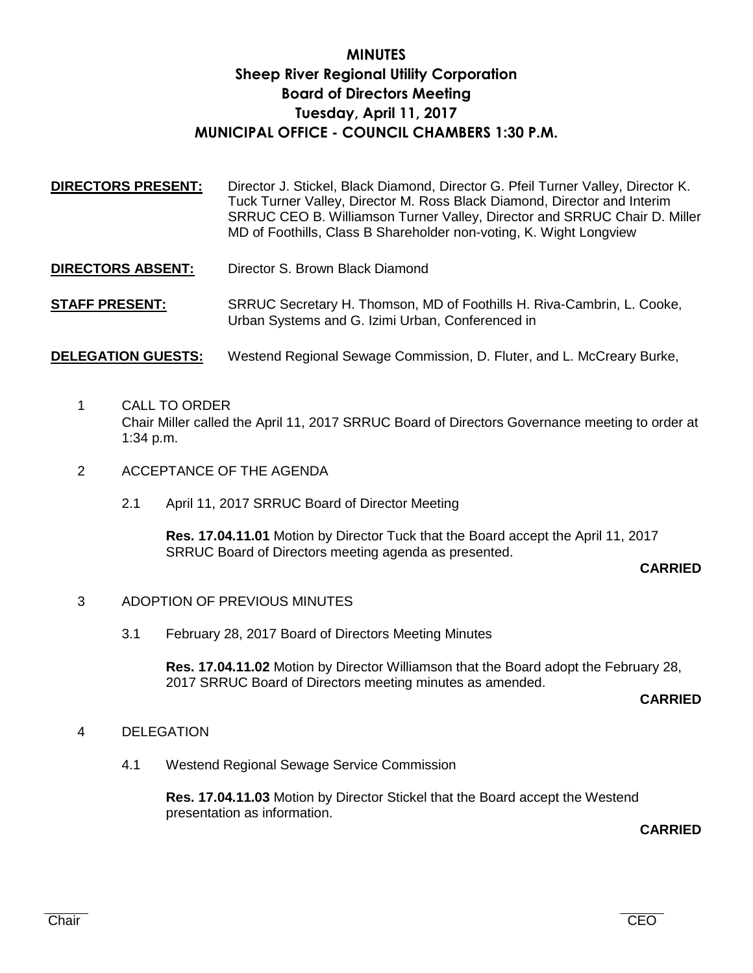# **MINUTES Sheep River Regional Utility Corporation Board of Directors Meeting Tuesday, April 11, 2017 MUNICIPAL OFFICE - COUNCIL CHAMBERS 1:30 P.M.**

- **DIRECTORS PRESENT:** Director J. Stickel, Black Diamond, Director G. Pfeil Turner Valley, Director K. Tuck Turner Valley, Director M. Ross Black Diamond, Director and Interim SRRUC CEO B. Williamson Turner Valley, Director and SRRUC Chair D. Miller MD of Foothills, Class B Shareholder non-voting, K. Wight Longview
- **DIRECTORS ABSENT:** Director S. Brown Black Diamond

**STAFF PRESENT:** SRRUC Secretary H. Thomson, MD of Foothills H. Riva-Cambrin, L. Cooke, Urban Systems and G. Izimi Urban, Conferenced in

### **DELEGATION GUESTS:** Westend Regional Sewage Commission, D. Fluter, and L. McCreary Burke,

- 1 CALL TO ORDER Chair Miller called the April 11, 2017 SRRUC Board of Directors Governance meeting to order at 1:34 p.m.
- 2 ACCEPTANCE OF THE AGENDA
	- 2.1 April 11, 2017 SRRUC Board of Director Meeting

**Res. 17.04.11.01** Motion by Director Tuck that the Board accept the April 11, 2017 SRRUC Board of Directors meeting agenda as presented.

### **CARRIED**

### 3 ADOPTION OF PREVIOUS MINUTES

3.1 February 28, 2017 Board of Directors Meeting Minutes

**Res. 17.04.11.02** Motion by Director Williamson that the Board adopt the February 28, 2017 SRRUC Board of Directors meeting minutes as amended.

#### **CARRIED**

### 4 DELEGATION

4.1 Westend Regional Sewage Service Commission

**Res. 17.04.11.03** Motion by Director Stickel that the Board accept the Westend presentation as information.

**CARRIED**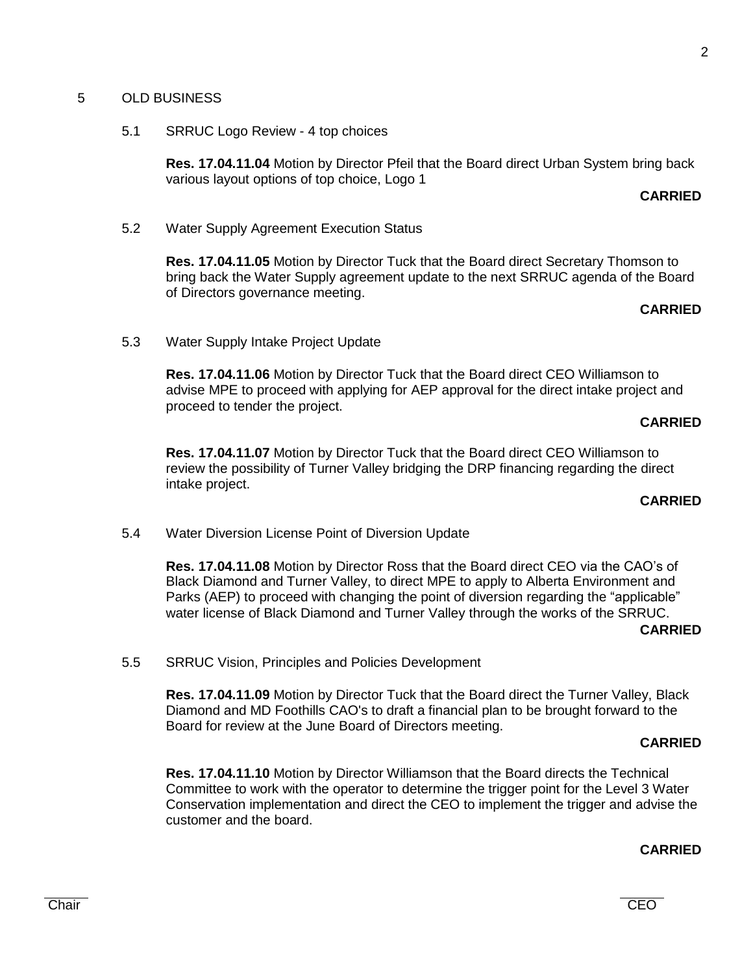### 5 OLD BUSINESS

5.1 SRRUC Logo Review - 4 top choices

**Res. 17.04.11.04** Motion by Director Pfeil that the Board direct Urban System bring back various layout options of top choice, Logo 1

### **CARRIED**

5.2 Water Supply Agreement Execution Status

**Res. 17.04.11.05** Motion by Director Tuck that the Board direct Secretary Thomson to bring back the Water Supply agreement update to the next SRRUC agenda of the Board of Directors governance meeting.

#### **CARRIED**

5.3 Water Supply Intake Project Update

**Res. 17.04.11.06** Motion by Director Tuck that the Board direct CEO Williamson to advise MPE to proceed with applying for AEP approval for the direct intake project and proceed to tender the project.

#### **CARRIED**

**Res. 17.04.11.07** Motion by Director Tuck that the Board direct CEO Williamson to review the possibility of Turner Valley bridging the DRP financing regarding the direct intake project.

### **CARRIED**

5.4 Water Diversion License Point of Diversion Update

**Res. 17.04.11.08** Motion by Director Ross that the Board direct CEO via the CAO's of Black Diamond and Turner Valley, to direct MPE to apply to Alberta Environment and Parks (AEP) to proceed with changing the point of diversion regarding the "applicable" water license of Black Diamond and Turner Valley through the works of the SRRUC.

#### **CARRIED**

5.5 SRRUC Vision, Principles and Policies Development

**Res. 17.04.11.09** Motion by Director Tuck that the Board direct the Turner Valley, Black Diamond and MD Foothills CAO's to draft a financial plan to be brought forward to the Board for review at the June Board of Directors meeting.

#### **CARRIED**

**Res. 17.04.11.10** Motion by Director Williamson that the Board directs the Technical Committee to work with the operator to determine the trigger point for the Level 3 Water Conservation implementation and direct the CEO to implement the trigger and advise the customer and the board.

### **CARRIED**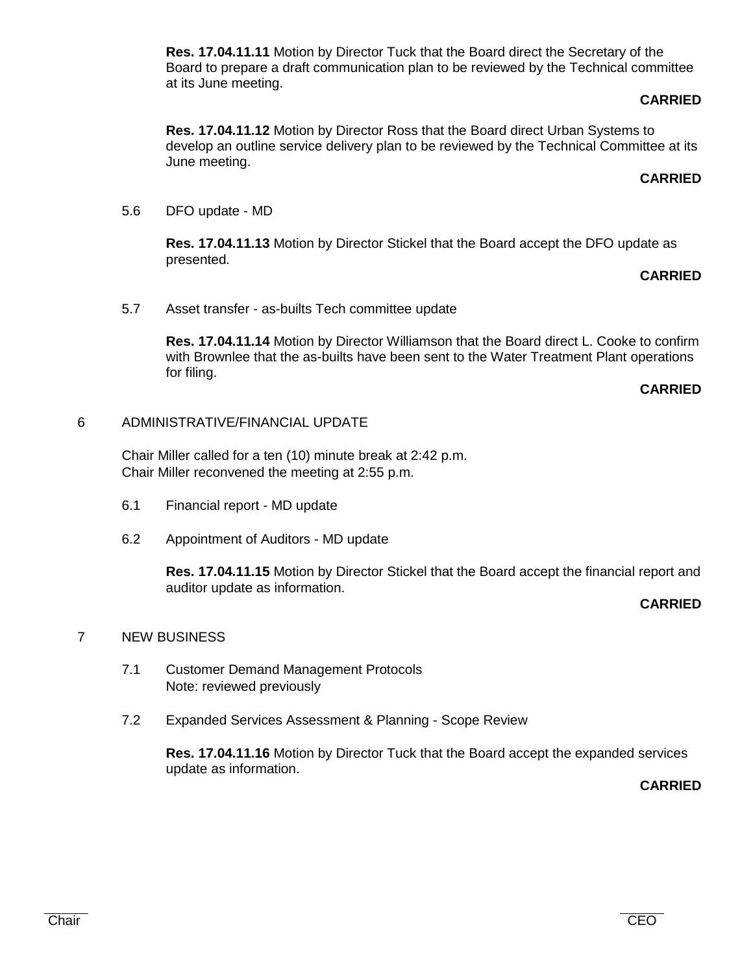**Res. 17.04.11.11** Motion by Director Tuck that the Board direct the Secretary of the Board to prepare a draft communication plan to be reviewed by the Technical committee at its June meeting.

### **CARRIED**

**Res. 17.04.11.12** Motion by Director Ross that the Board direct Urban Systems to develop an outline service delivery plan to be reviewed by the Technical Committee at its June meeting.

### **CARRIED**

5.6 DFO update - MD

**Res. 17.04.11.13** Motion by Director Stickel that the Board accept the DFO update as presented.

### **CARRIED**

5.7 Asset transfer - as-builts Tech committee update

**Res. 17.04.11.14** Motion by Director Williamson that the Board direct L. Cooke to confirm with Brownlee that the as-builts have been sent to the Water Treatment Plant operations for filing.

### **CARRIED**

### 6 ADMINISTRATIVE/FINANCIAL UPDATE

Chair Miller called for a ten (10) minute break at 2:42 p.m. Chair Miller reconvened the meeting at 2:55 p.m.

- 6.1 Financial report MD update
- 6.2 Appointment of Auditors MD update

**Res. 17.04.11.15** Motion by Director Stickel that the Board accept the financial report and auditor update as information.

### **CARRIED**

### 7 NEW BUSINESS

- 7.1 Customer Demand Management Protocols Note: reviewed previously
- 7.2 Expanded Services Assessment & Planning Scope Review

**Res. 17.04.11.16** Motion by Director Tuck that the Board accept the expanded services update as information.

**CARRIED**